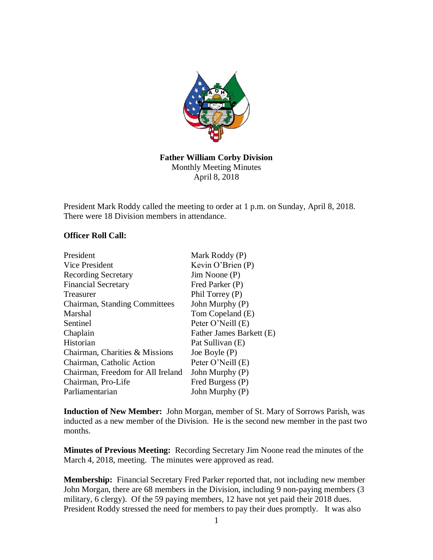

## **Father William Corby Division** Monthly Meeting Minutes April 8, 2018

President Mark Roddy called the meeting to order at 1 p.m. on Sunday, April 8, 2018. There were 18 Division members in attendance.

## **Officer Roll Call:**

| President                         | Mark Roddy (P)           |
|-----------------------------------|--------------------------|
| Vice President                    | Kevin O'Brien $(P)$      |
| <b>Recording Secretary</b>        | $Jim$ Noone $(P)$        |
| <b>Financial Secretary</b>        | Fred Parker (P)          |
| Treasurer                         | Phil Torrey (P)          |
| Chairman, Standing Committees     | John Murphy (P)          |
| Marshal                           | Tom Copeland (E)         |
| Sentinel                          | Peter O'Neill (E)        |
| Chaplain                          | Father James Barkett (E) |
| Historian                         | Pat Sullivan (E)         |
| Chairman, Charities & Missions    | Joe Boyle $(P)$          |
| Chairman, Catholic Action         | Peter O'Neill (E)        |
| Chairman, Freedom for All Ireland | John Murphy (P)          |
| Chairman, Pro-Life                | Fred Burgess (P)         |
| Parliamentarian                   | John Murphy (P)          |

**Induction of New Member:** John Morgan, member of St. Mary of Sorrows Parish, was inducted as a new member of the Division. He is the second new member in the past two months.

**Minutes of Previous Meeting:** Recording Secretary Jim Noone read the minutes of the March 4, 2018, meeting. The minutes were approved as read.

**Membership:** Financial Secretary Fred Parker reported that, not including new member John Morgan, there are 68 members in the Division, including 9 non-paying members (3 military, 6 clergy). Of the 59 paying members, 12 have not yet paid their 2018 dues. President Roddy stressed the need for members to pay their dues promptly. It was also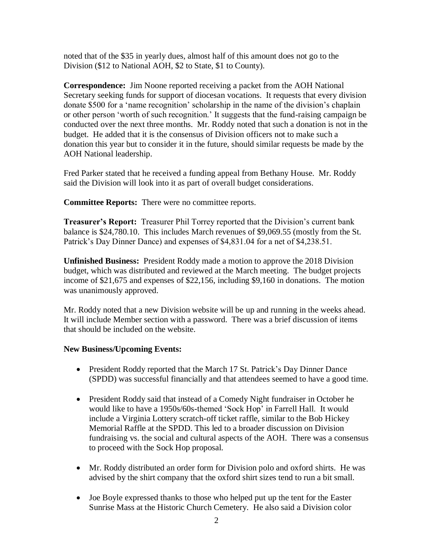noted that of the \$35 in yearly dues, almost half of this amount does not go to the Division (\$12 to National AOH, \$2 to State, \$1 to County).

**Correspondence:** Jim Noone reported receiving a packet from the AOH National Secretary seeking funds for support of diocesan vocations. It requests that every division donate \$500 for a 'name recognition' scholarship in the name of the division's chaplain or other person 'worth of such recognition.' It suggests that the fund-raising campaign be conducted over the next three months. Mr. Roddy noted that such a donation is not in the budget. He added that it is the consensus of Division officers not to make such a donation this year but to consider it in the future, should similar requests be made by the AOH National leadership.

Fred Parker stated that he received a funding appeal from Bethany House. Mr. Roddy said the Division will look into it as part of overall budget considerations.

**Committee Reports:** There were no committee reports.

**Treasurer's Report:** Treasurer Phil Torrey reported that the Division's current bank balance is \$24,780.10. This includes March revenues of \$9,069.55 (mostly from the St. Patrick's Day Dinner Dance) and expenses of \$4,831.04 for a net of \$4,238.51.

**Unfinished Business:** President Roddy made a motion to approve the 2018 Division budget, which was distributed and reviewed at the March meeting. The budget projects income of \$21,675 and expenses of \$22,156, including \$9,160 in donations. The motion was unanimously approved.

Mr. Roddy noted that a new Division website will be up and running in the weeks ahead. It will include Member section with a password. There was a brief discussion of items that should be included on the website.

## **New Business/Upcoming Events:**

- President Roddy reported that the March 17 St. Patrick's Day Dinner Dance (SPDD) was successful financially and that attendees seemed to have a good time.
- President Roddy said that instead of a Comedy Night fundraiser in October he would like to have a 1950s/60s-themed 'Sock Hop' in Farrell Hall. It would include a Virginia Lottery scratch-off ticket raffle, similar to the Bob Hickey Memorial Raffle at the SPDD. This led to a broader discussion on Division fundraising vs. the social and cultural aspects of the AOH. There was a consensus to proceed with the Sock Hop proposal.
- Mr. Roddy distributed an order form for Division polo and oxford shirts. He was advised by the shirt company that the oxford shirt sizes tend to run a bit small.
- Joe Boyle expressed thanks to those who helped put up the tent for the Easter Sunrise Mass at the Historic Church Cemetery. He also said a Division color